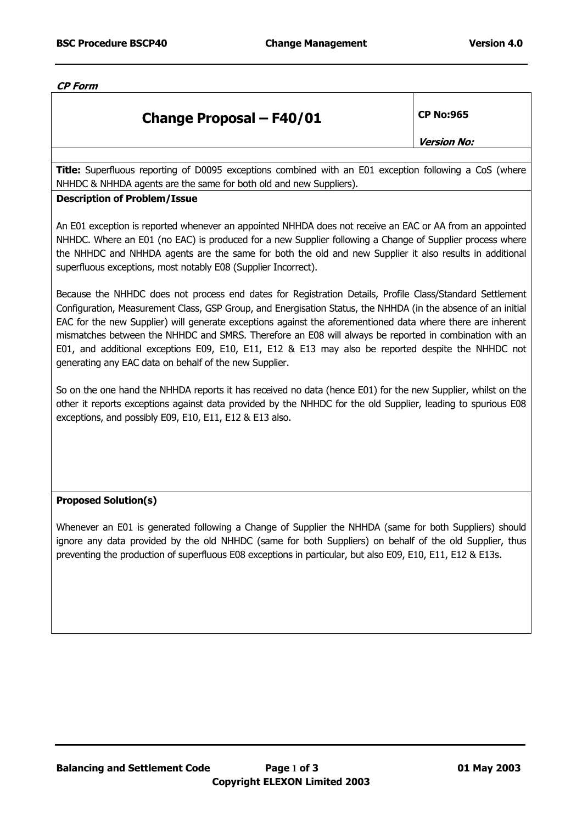**CP Form** 

## **Change Proposal – F40/01 CP No:965**

**Version No:** 

**Title:** Superfluous reporting of D0095 exceptions combined with an E01 exception following a CoS (where NHHDC & NHHDA agents are the same for both old and new Suppliers).

## **Description of Problem/Issue**

An E01 exception is reported whenever an appointed NHHDA does not receive an EAC or AA from an appointed NHHDC. Where an E01 (no EAC) is produced for a new Supplier following a Change of Supplier process where the NHHDC and NHHDA agents are the same for both the old and new Supplier it also results in additional superfluous exceptions, most notably E08 (Supplier Incorrect).

Because the NHHDC does not process end dates for Registration Details, Profile Class/Standard Settlement Configuration, Measurement Class, GSP Group, and Energisation Status, the NHHDA (in the absence of an initial EAC for the new Supplier) will generate exceptions against the aforementioned data where there are inherent mismatches between the NHHDC and SMRS. Therefore an E08 will always be reported in combination with an E01, and additional exceptions E09, E10, E11, E12 & E13 may also be reported despite the NHHDC not generating any EAC data on behalf of the new Supplier.

So on the one hand the NHHDA reports it has received no data (hence E01) for the new Supplier, whilst on the other it reports exceptions against data provided by the NHHDC for the old Supplier, leading to spurious E08 exceptions, and possibly E09, E10, E11, E12 & E13 also.

## **Proposed Solution(s)**

Whenever an E01 is generated following a Change of Supplier the NHHDA (same for both Suppliers) should ignore any data provided by the old NHHDC (same for both Suppliers) on behalf of the old Supplier, thus preventing the production of superfluous E08 exceptions in particular, but also E09, E10, E11, E12 & E13s.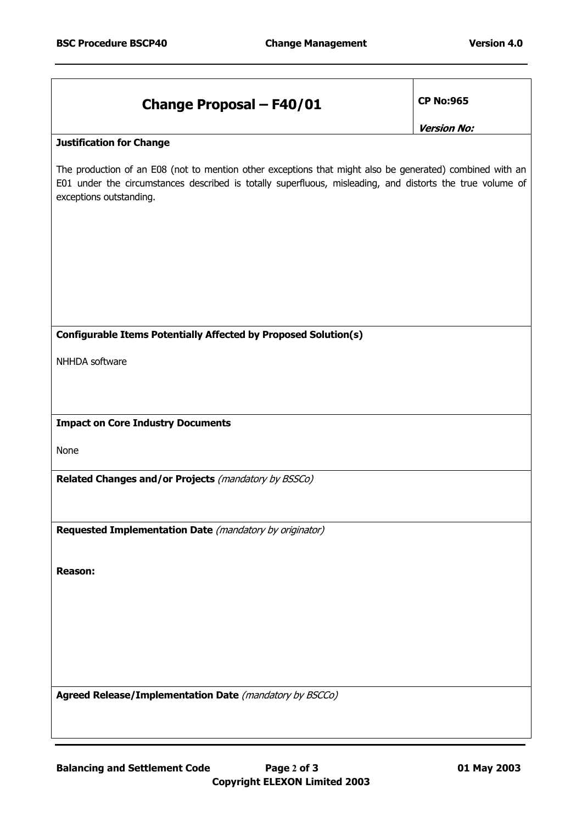| <b>Change Proposal - F40/01</b>                                                                                                                                                                                                                  | <b>CP No:965</b>   |  |
|--------------------------------------------------------------------------------------------------------------------------------------------------------------------------------------------------------------------------------------------------|--------------------|--|
|                                                                                                                                                                                                                                                  | <b>Version No:</b> |  |
| <b>Justification for Change</b>                                                                                                                                                                                                                  |                    |  |
| The production of an E08 (not to mention other exceptions that might also be generated) combined with an<br>E01 under the circumstances described is totally superfluous, misleading, and distorts the true volume of<br>exceptions outstanding. |                    |  |
|                                                                                                                                                                                                                                                  |                    |  |
|                                                                                                                                                                                                                                                  |                    |  |
|                                                                                                                                                                                                                                                  |                    |  |
|                                                                                                                                                                                                                                                  |                    |  |
|                                                                                                                                                                                                                                                  |                    |  |
| Configurable Items Potentially Affected by Proposed Solution(s)                                                                                                                                                                                  |                    |  |
| NHHDA software                                                                                                                                                                                                                                   |                    |  |
|                                                                                                                                                                                                                                                  |                    |  |
|                                                                                                                                                                                                                                                  |                    |  |
| <b>Impact on Core Industry Documents</b>                                                                                                                                                                                                         |                    |  |
| None                                                                                                                                                                                                                                             |                    |  |
| Related Changes and/or Projects (mandatory by BSSCo)                                                                                                                                                                                             |                    |  |
|                                                                                                                                                                                                                                                  |                    |  |
|                                                                                                                                                                                                                                                  |                    |  |
| Requested Implementation Date (mandatory by originator)                                                                                                                                                                                          |                    |  |
|                                                                                                                                                                                                                                                  |                    |  |
| <b>Reason:</b>                                                                                                                                                                                                                                   |                    |  |
|                                                                                                                                                                                                                                                  |                    |  |
|                                                                                                                                                                                                                                                  |                    |  |
|                                                                                                                                                                                                                                                  |                    |  |
|                                                                                                                                                                                                                                                  |                    |  |
| Agreed Release/Implementation Date (mandatory by BSCCo)                                                                                                                                                                                          |                    |  |
|                                                                                                                                                                                                                                                  |                    |  |
|                                                                                                                                                                                                                                                  |                    |  |